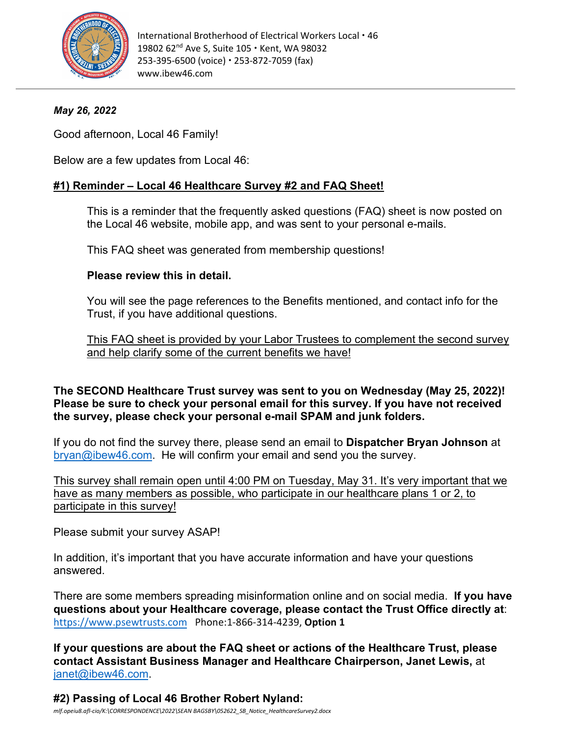

# *May 26, 2022*

Good afternoon, Local 46 Family!

Below are a few updates from Local 46:

# **#1) Reminder – Local 46 Healthcare Survey #2 and FAQ Sheet!**

This is a reminder that the frequently asked questions (FAQ) sheet is now posted on the Local 46 website, mobile app, and was sent to your personal e-mails.

This FAQ sheet was generated from membership questions!

## **Please review this in detail.**

You will see the page references to the Benefits mentioned, and contact info for the Trust, if you have additional questions.

This FAQ sheet is provided by your Labor Trustees to complement the second survey and help clarify some of the current benefits we have!

## **The SECOND Healthcare Trust survey was sent to you on Wednesday (May 25, 2022)! Please be sure to check your personal email for this survey. If you have not received the survey, please check your personal e-mail SPAM and junk folders.**

If you do not find the survey there, please send an email to **Dispatcher Bryan Johnson** at [bryan@ibew46.com.](mailto:bryan@ibew46.com) He will confirm your email and send you the survey.

This survey shall remain open until 4:00 PM on Tuesday, May 31. It's very important that we have as many members as possible, who participate in our healthcare plans 1 or 2, to participate in this survey!

Please submit your survey ASAP!

In addition, it's important that you have accurate information and have your questions answered.

There are some members spreading misinformation online and on social media. **If you have questions about your Healthcare coverage, please contact the Trust Office directly at**: [https://www.psewtrusts.com](https://www.psewtrusts.com/) Phone:1-866-314-4239, **Option 1**

**If your questions are about the FAQ sheet or actions of the Healthcare Trust, please contact Assistant Business Manager and Healthcare Chairperson, Janet Lewis,** at [janet@ibew46.com.](mailto:janet@ibew46.com)

**#2) Passing of Local 46 Brother Robert Nyland:**  *mlf.opeiu8.afl-cio/K:\CORRESPONDENCE\2022\SEAN BAGSBY\052622\_SB\_Notice\_HealthcareSurvey2.docx*